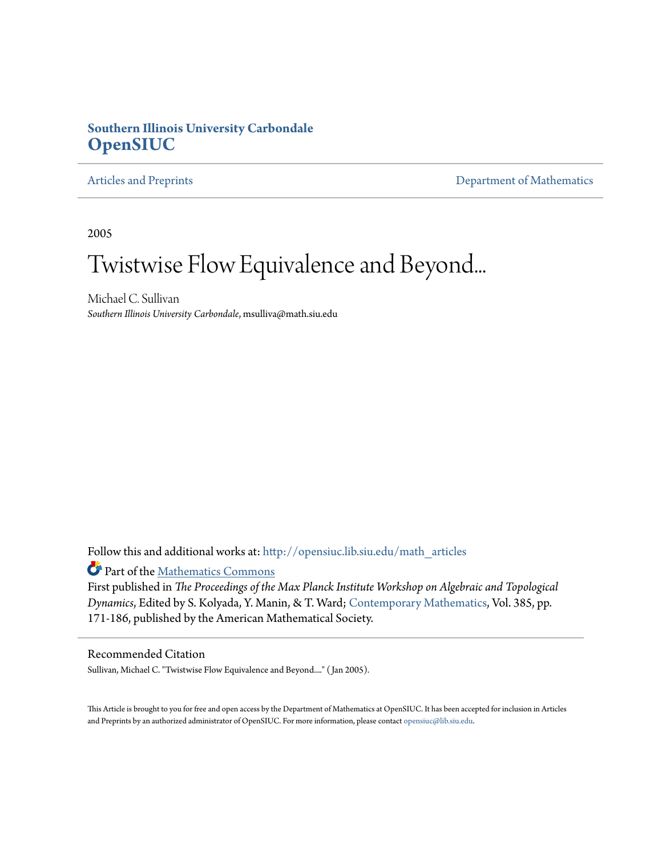## **Southern Illinois University Carbondale [OpenSIUC](http://opensiuc.lib.siu.edu?utm_source=opensiuc.lib.siu.edu%2Fmath_articles%2F81&utm_medium=PDF&utm_campaign=PDFCoverPages)**

[Articles and Preprints](http://opensiuc.lib.siu.edu/math_articles?utm_source=opensiuc.lib.siu.edu%2Fmath_articles%2F81&utm_medium=PDF&utm_campaign=PDFCoverPages) **[Department of Mathematics](http://opensiuc.lib.siu.edu/math?utm_source=opensiuc.lib.siu.edu%2Fmath_articles%2F81&utm_medium=PDF&utm_campaign=PDFCoverPages)** 

2005

# Twistwise Flow Equivalence and Beyond...

Michael C. Sullivan *Southern Illinois University Carbondale*, msulliva@math.siu.edu

Follow this and additional works at: [http://opensiuc.lib.siu.edu/math\\_articles](http://opensiuc.lib.siu.edu/math_articles?utm_source=opensiuc.lib.siu.edu%2Fmath_articles%2F81&utm_medium=PDF&utm_campaign=PDFCoverPages)

Part of the [Mathematics Commons](http://network.bepress.com/hgg/discipline/174?utm_source=opensiuc.lib.siu.edu%2Fmath_articles%2F81&utm_medium=PDF&utm_campaign=PDFCoverPages)

First published in *The Proceedings of the Max Planck Institute Workshop on Algebraic and Topological Dynamics*, Edited by S. Kolyada, Y. Manin, & T. Ward; [Contemporary Mathematics](http://www.ams.org/conm/), Vol. 385, pp. 171-186, published by the American Mathematical Society.

#### Recommended Citation

Sullivan, Michael C. "Twistwise Flow Equivalence and Beyond...." ( Jan 2005).

This Article is brought to you for free and open access by the Department of Mathematics at OpenSIUC. It has been accepted for inclusion in Articles and Preprints by an authorized administrator of OpenSIUC. For more information, please contact [opensiuc@lib.siu.edu](mailto:opensiuc@lib.siu.edu).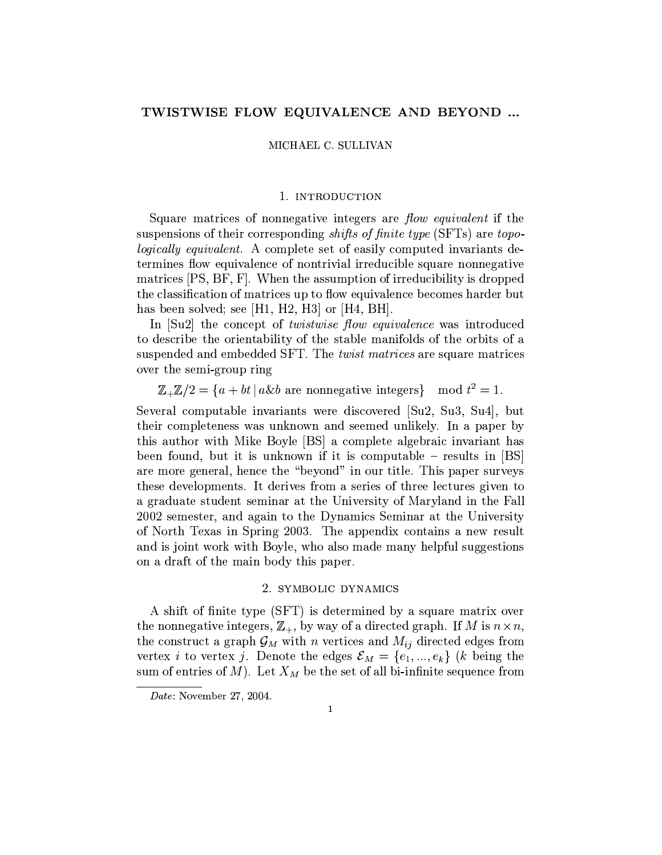#### TWISTWISE FLOW EQUIVALENCE AND BEYOND ...

 $MICHAEL$  C. SULLIVAN

#### 1. INTRODUCTION

Square matrices of nonnegative integers are flow equivalent if the suspensions of their corresponding *shifts of finite type* (SFTs) are *topo* $logically\;equivalent.$  A complete set of easily computed invariants de-XZSaQ\U[td=Sa`CPbS\_M:N=[gfRO7tS\_d}]\_S#bRcd}bAdXZQ\[gf[ OR¡[tQTQ\Sa|=N=]\_[^¢=tS-`\M:NPO7Q\Sd=bAd}d=S\_eOYXZ[^fRS UWOYXZQ\[^]\_Sa`£¥¤L¦R§¦A¡¨ @2©y=S\_d#X\y=SOR`T`\N=Uz}XZ[^bAdªb7c«[tQ\QTS\_|=N}]\_[t¢}[tt[gX[^`I|=QTbAz=z¬S\_| the classification of matrices up to flow equivalence becomes harder but yPOR`j¢¬S\_S\_d°`\bR^fASa|²±P`\SaS³£¥´ ? ¦«´µ¦«´C¶7¨¡bAQ-£¥´C·=¦=§´C¨

In  $[Su2]$  the concept of *twistwise flow equivalence* was introduced to describe the orientability of the stable manifolds of the orbits of a  $\blacksquare$ over the semi-group ring

ÂëÂÄ µÅÇÆYÈ%É®ÊZË2ÌÍÈÎÊO7Q\Sd=bAd=d}S\_eO7X\[^fRS-[^dXZS\_eRS\_Q\`vÏ Ub9|»ËÐÅ ?AÑ

Several computable invariants were discovered [Su2, Su3, Su4], but  $X$ ade=bjd $X$ aba $X$ de=bjd $X$ ord=bjd $X$ ord=bjd $X$ ord=bjd $X$ ade=bjd $X$ ade=bjd $X$ ade=bjd $X$ ade=bjd $X$ ade=bjd $X$ ade=bjd $X$ ade=bjd $X$ ade=bjd $X$ this author with Mike Boyle  $[BS]$  a complete algebraic invariant has been found, but it is unknown if it is computable – results in [BS]  $e$  d=Saqzor-) extending the same  $\mu$  same  $\mu$  and  $\mu$  to  $\mu$  and  $\mu$  and  $\mu$  and  $\mu$  and  $\mu$  $X$  satisfaction as a set of the set of the same  $\tilde{X}$  and  $\tilde{X}$  axis to  $\tilde{X}$ a graduate student seminar at the University of Maryland in the Fall  $2002$  semester, and again to the Dynamics Seminar at the University  $\delta$  and the O7's of the orientation  $\delta$  and  $\delta$  abadiing  $\delta$  abadiing  $\delta$  or  $\delta$ and is joint work with Boyle, who also made many helpful suggestions  $\blacksquare$ 

#### <sup>µ</sup> @xé\_ê¯ë%ìGIí:B<KØH4êID¡î2ëB<Ké

A shift of finite type (SFT) is determined by a square matrix over  $X=\{x\in X\mid x\in X\}$ the construct a graph  $\mathcal{G}_M$  with n vertices and  $M_{ij}$  directed edges from fasa $\delta$ a $\delta$ a $\delta$ a $\delta$ a $\delta$ a $\delta$ a $\delta$ i $\delta$  oñ $\delta$ i $\delta$  of  $\delta$  yie $\delta$  yiel $\delta$  yiel $\delta$ ôb¢odXatabrcao a Sax-aodada a Sax-aodada a Sax-aoda a Sax-aoda a Sax-aoda a Sax-aoda a Sax-aoda a Sax-aoda a C

 7>
 Y5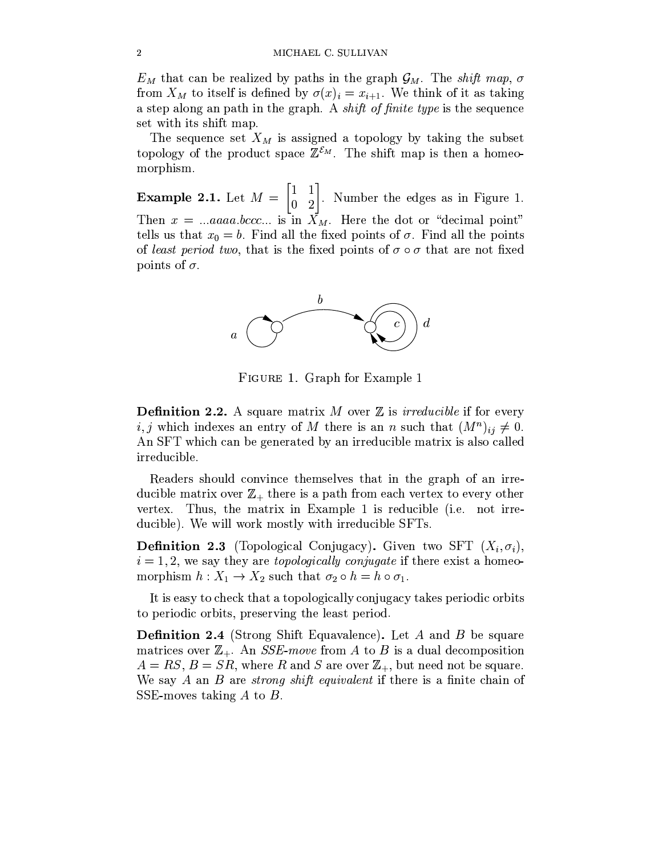$E_M$  that can be realized by paths in the graph  $\mathcal{G}_M$ . The shift map,  $\sigma$ from  $X_M$  to itself is defined by  $\sigma(x)_i = x_{i+1}$ . We think of it as taking a step along an path in the graph. A *shift of finite type* is the sequence set with its shift map.

The sequence set  $X_M$  is assigned a topology by taking the subset topology of the product space  $\mathbb{Z}^{\mathcal{E}_M}$ . The shift map is then a homeomorphism.

**Example 2.1.** Let  $M = \begin{bmatrix} 1 & 1 \\ 0 & 2 \end{bmatrix}$ . Number the edges as in Figure 1.<br>Then  $x = ...aaaa,bccc...$  is in  $X_M$ . Here the dot or "decimal point" tells us that  $x_0 = b$ . Find all the fixed points of  $\sigma$ . Find all the points of least period two, that is the fixed points of  $\sigma \circ \sigma$  that are not fixed points of  $\sigma$ .



FIGURE 1. Graph for Example 1

**Definition 2.2.** A square matrix M over  $\mathbb Z$  is *irreducible* if for every i, j which indexes an entry of M there is an n such that  $(M^n)_{ii} \neq 0$ . An SFT which can be generated by an irreducible matrix is also called irreducible.

Readers should convince themselves that in the graph of an irreducible matrix over  $\mathbb{Z}_+$  there is a path from each vertex to every other vertex. Thus, the matrix in Example 1 is reducible (i.e. not irreducible). We will work mostly with irreducible SFTs.

**Definition 2.3** (Topological Conjugacy). Given two SFT  $(X_i, \sigma_i)$ ,  $i = 1, 2$ , we say they are *topologically conjugate* if there exist a homeomorphism  $h: X_1 \to X_2$  such that  $\sigma_2 \circ h = h \circ \sigma_1$ .

It is easy to check that a topologically conjugacy takes periodic orbits to periodic orbits, preserving the least period.

**Definition 2.4** (Strong Shift Equavalence). Let A and B be square matrices over  $\mathbb{Z}_+$ . An *SSE-move* from A to B is a dual decomposition  $A = RS$ ,  $B = SR$ , where R and S are over  $\mathbb{Z}_+$ , but need not be square. We say A an B are *strong shift equivalent* if there is a finite chain of SSE-moves taking  $A$  to  $B$ .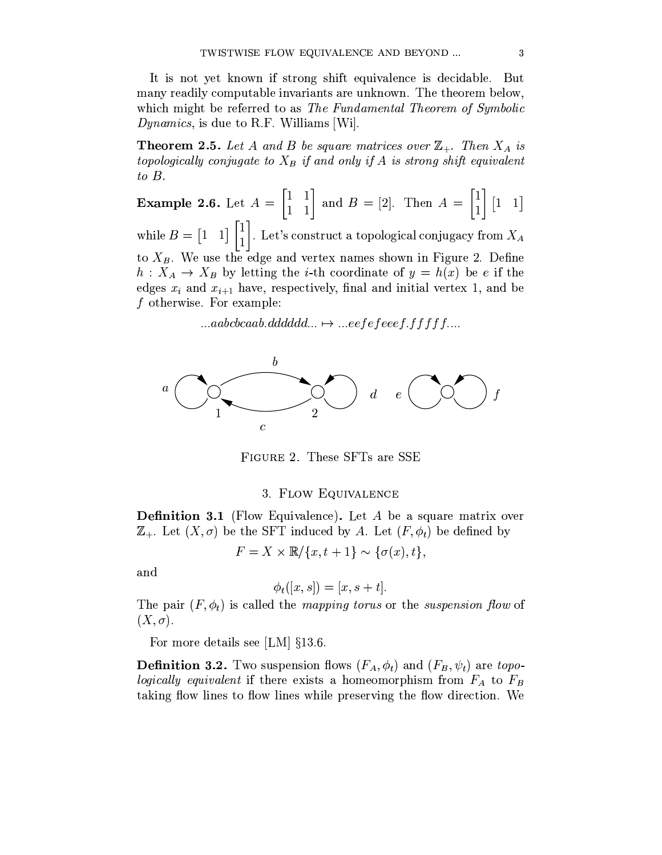It is not yet known if strong shift equivalence is decidable. But many readily computable invariants are unknown. The theorem below, which might be referred to as The Fundamental Theorem of Symbolic *Dynamics*, is due to R.F. Williams [Wi].

**Theorem 2.5.** Let A and B be square matrices over  $\mathbb{Z}_+$ . Then  $X_A$  is topologically conjugate to  $X_B$  if and only if A is strong shift equivalent  $to$   $B$ .

**Example 2.6.** Let  $A = \begin{bmatrix} 1 & 1 \\ 1 & 1 \end{bmatrix}$  and  $B = [2]$ . Then  $A = \begin{bmatrix} 1 \\ 1 \end{bmatrix} [1 \ 1]$ <br>while  $B = \begin{bmatrix} 1 & 1 \end{bmatrix} \begin{bmatrix} 1 \\ 1 \end{bmatrix}$ . Let's construct a topological conjugacy from  $X_A$ to  $X_B$ . We use the edge and vertex names shown in Figure 2. Define  $h: X_A \to X_B$  by letting the *i*-th coordinate of  $y = h(x)$  be *e* if the edges  $x_i$  and  $x_{i+1}$  have, respectively, final and initial vertex 1, and be f otherwise. For example:

 $...aabcbcaab.dddddd... \mapsto ...eefefeeeef. ffffff...$ 



FIGURE 2. These SFTs are SSE

#### 3. FLOW EQUIVALENCE

**Definition 3.1** (Flow Equivalence). Let A be a square matrix over  $\mathbb{Z}_+$ . Let  $(X,\sigma)$  be the SFT induced by A. Let  $(F,\phi_t)$  be defined by

$$
F = X \times \mathbb{R} / \{x, t + 1\} \sim \{\sigma(x), t\},\
$$

and

$$
\phi_t([x,s]) = [x, s+t].
$$

The pair  $(F, \phi_t)$  is called the *mapping torus* or the *suspension flow* of  $(X,\sigma).$ 

For more details see [LM]  $\S 13.6$ .

**Definition 3.2.** Two suspension flows  $(F_A, \phi_t)$  and  $(F_B, \psi_t)$  are topologically equivalent if there exists a homeomorphism from  $F_A$  to  $F_B$ taking flow lines to flow lines while preserving the flow direction. We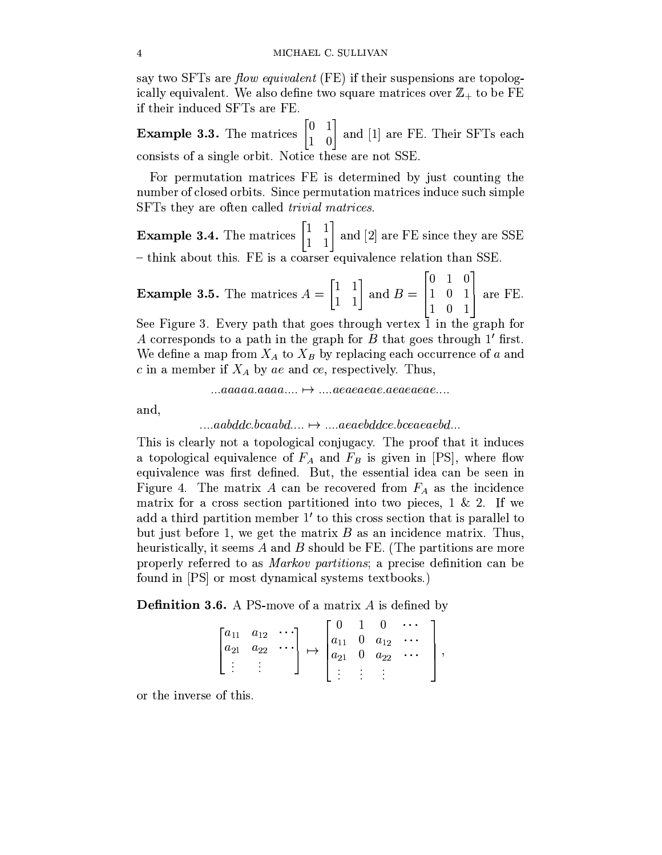say two SFTs are *flow equivalent* (FE) if their suspensions are topologically equivalent. We also define two square matrices over  $\mathbb{Z}_+$  to be FE if their induced SFTs are FE.

**Example 3.3.** The matrices  $\begin{bmatrix} 0 & 1 \\ 1 & 0 \end{bmatrix}$  and [1] are FE. Their SFTs each consists of a single orbit. Notice these are not SSE.

For permutation matrices FE is determined by just counting the number of closed orbits. Since permutation matrices induce such simple SFTs they are often called *trivial matrices*.

**Example 3.4.** The matrices  $\begin{bmatrix} 1 & 1 \\ 1 & 1 \end{bmatrix}$  and [2] are FE since they are SSE - think about this. FE is a coarser equivalence relation than SSE.

**Example 3.5.** The matrices 
$$
A = \begin{bmatrix} 1 & 1 \\ 1 & 1 \end{bmatrix}
$$
 and  $B = \begin{bmatrix} 0 & 1 & 0 \\ 1 & 0 & 1 \\ 1 & 0 & 1 \end{bmatrix}$  are FE.

See Figure 3. Every path that goes through vertex 1 in the graph for A corresponds to a path in the graph for B that goes through 1' first. We define a map from  $X_A$  to  $X_B$  by replacing each occurrence of a and c in a member if  $X_A$  by ae and ce, respectively. Thus,

$$
...aaaaa.aaaa.... \mapsto ...aaaaaea e. a eaeaea e...
$$

and,

$$
\dots
$$
aabddc.bcaabd $\dots \mapsto \dots$ aeaebddce.bceaeaebd.

This is clearly not a topological conjugacy. The proof that it induces a topological equivalence of  $F_A$  and  $F_B$  is given in [PS], where flow equivalence was first defined. But, the essential idea can be seen in Figure 4. The matrix A can be recovered from  $F_A$  as the incidence matrix for a cross section partitioned into two pieces,  $1 \& 2$ . If we add a third partition member 1' to this cross section that is parallel to but just before 1, we get the matrix  $B$  as an incidence matrix. Thus, heuristically, it seems  $A$  and  $B$  should be FE. (The partitions are more properly referred to as *Markov partitions*; a precise definition can be found in [PS] or most dynamical systems textbooks.)

**Definition 3.6.** A PS-move of a matrix  $A$  is defined by

$$
\begin{bmatrix} a_{11} & a_{12} & \cdots \\ a_{21} & a_{22} & \cdots \\ \vdots & \vdots & \end{bmatrix} \mapsto \begin{bmatrix} 0 & 1 & 0 & \cdots \\ a_{11} & 0 & a_{12} & \cdots \\ a_{21} & 0 & a_{22} & \cdots \\ \vdots & \vdots & \vdots & \end{bmatrix},
$$

or the inverse of this.

 $\overline{4}$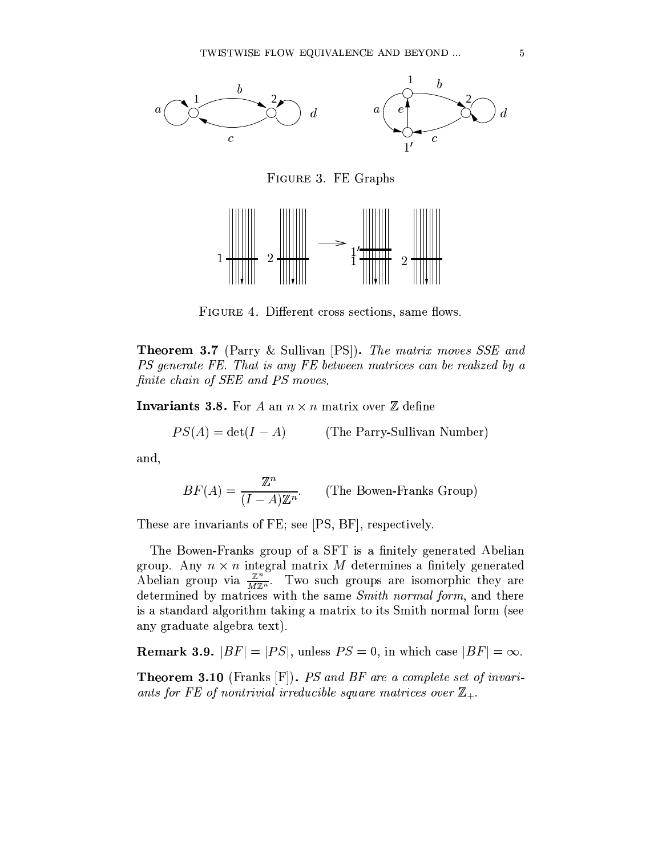

FIGURE 3. FE Graphs



FIGURE 4. Different cross sections, same flows.

**Theorem 3.7** (Parry & Sullivan [PS]). The matrix moves SSE and PS generate FE. That is any FE between matrices can be realized by a finite chain of SEE and PS moves.

**Invariants 3.8.** For A an  $n \times n$  matrix over Z define

$$
PS(A) = \det(I - A)
$$
 (The Parry-Sullivan Number)

and,

$$
BF(A) = \frac{\mathbb{Z}^n}{(I - A)\mathbb{Z}^n}.
$$
 (The Bown-Franss Group)

These are invariants of FE; see [PS, BF], respectively.

The Bowen-Franks group of a SFT is a finitely generated Abelian group. Any  $n \times n$  integral matrix M determines a finitely generated<br>Abelian group via  $\frac{\mathbb{Z}^n}{M\mathbb{Z}^n}$ . Two such groups are isomorphic they are determined by matrices with the same Smith normal form, and there is a standard algorithm taking a matrix to its Smith normal form (see any graduate algebra text).

**Remark 3.9.**  $|BF| = |PS|$ , unless  $PS = 0$ , in which case  $|BF| = \infty$ .

**Theorem 3.10** (Franks  $[F]$ ). PS and BF are a complete set of invariants for FE of nontrivial irreducible square matrices over  $\mathbb{Z}_+$ .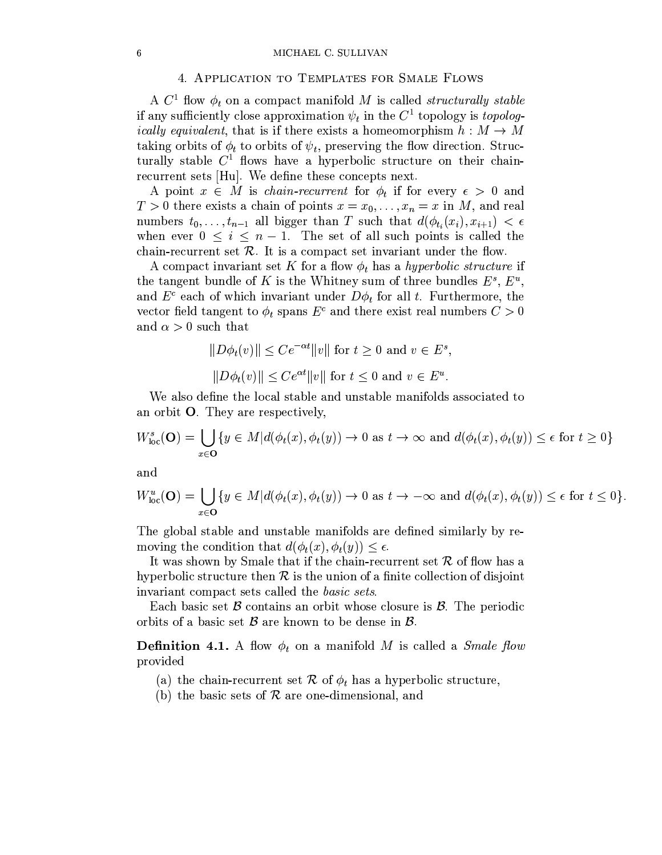#### 4. APPLICATION TO TEMPLATES FOR SMALE FLOWS

A  $C^1$  flow  $\phi_t$  on a compact manifold M is called *structurally stable* if any sufficiently close approximation  $\psi_t$  in the  $C^1$  topology is *topologically equivalent*, that is if there exists a homeomorphism  $h : M \to M$ taking orbits of  $\phi_t$  to orbits of  $\psi_t$ , preserving the flow direction. Structurally stable  $C<sup>1</sup>$  flows have a hyperbolic structure on their chainrecurrent sets [Hu]. We define these concepts next.

A point  $x \in M$  is *chain-recurrent* for  $\phi_t$  if for every  $\epsilon > 0$  and  $T > 0$  there exists a chain of points  $x = x_0, \ldots, x_n = x$  in M, and real numbers  $t_0, \ldots, t_{n-1}$  all bigger than T such that  $d(\phi_{t_i}(x_i), x_{i+1}) < \epsilon$ when ever  $0 \leq i \leq n-1$ . The set of all such points is called the chain-recurrent set  $R$ . It is a compact set invariant under the flow.

A compact invariant set K for a flow  $\phi_t$  has a hyperbolic structure if the tangent bundle of K is the Whitney sum of three bundles  $E^s$ ,  $E^u$ , and  $E^c$  each of which invariant under  $D\phi_t$  for all t. Furthermore, the vector field tangent to  $\phi_t$  spans  $E^c$  and there exist real numbers  $C > 0$ and  $\alpha > 0$  such that

$$
||D\phi_t(v)|| \le Ce^{-\alpha t} ||v|| \text{ for } t \ge 0 \text{ and } v \in E^s,
$$
  

$$
||D\phi_t(v)|| \le Ce^{\alpha t} ||v|| \text{ for } t \le 0 \text{ and } v \in E^u.
$$

We also define the local stable and unstable manifolds associated to an orbit  $O$ . They are respectively,

$$
W_{\text{loc}}^{s}(\mathbf{O}) = \bigcup_{x \in \mathbf{O}} \{ y \in M | d(\phi_{t}(x), \phi_{t}(y)) \to 0 \text{ as } t \to \infty \text{ and } d(\phi_{t}(x), \phi_{t}(y)) \le \epsilon \text{ for } t \ge 0 \}
$$

and

$$
W^u_{\text{loc}}(\mathbf{O}) = \bigcup_{x \in \mathbf{O}} \{ y \in M | d(\phi_t(x), \phi_t(y)) \to 0 \text{ as } t \to -\infty \text{ and } d(\phi_t(x), \phi_t(y)) \le \epsilon \text{ for } t \le 0 \}.
$$

The global stable and unstable manifolds are defined similarly by removing the condition that  $d(\phi_t(x), \phi_t(y)) \leq \epsilon$ .

It was shown by Smale that if the chain-recurrent set  $R$  of flow has a hyperbolic structure then  $\mathcal R$  is the union of a finite collection of disjoint invariant compact sets called the *basic sets*.

Each basic set  $\beta$  contains an orbit whose closure is  $\beta$ . The periodic orbits of a basic set  $\beta$  are known to be dense in  $\beta$ .

**Definition 4.1.** A flow  $\phi_t$  on a manifold M is called a *Smale flow* provided

- (a) the chain-recurrent set R of  $\phi_t$  has a hyperbolic structure,
- (b) the basic sets of  $R$  are one-dimensional, and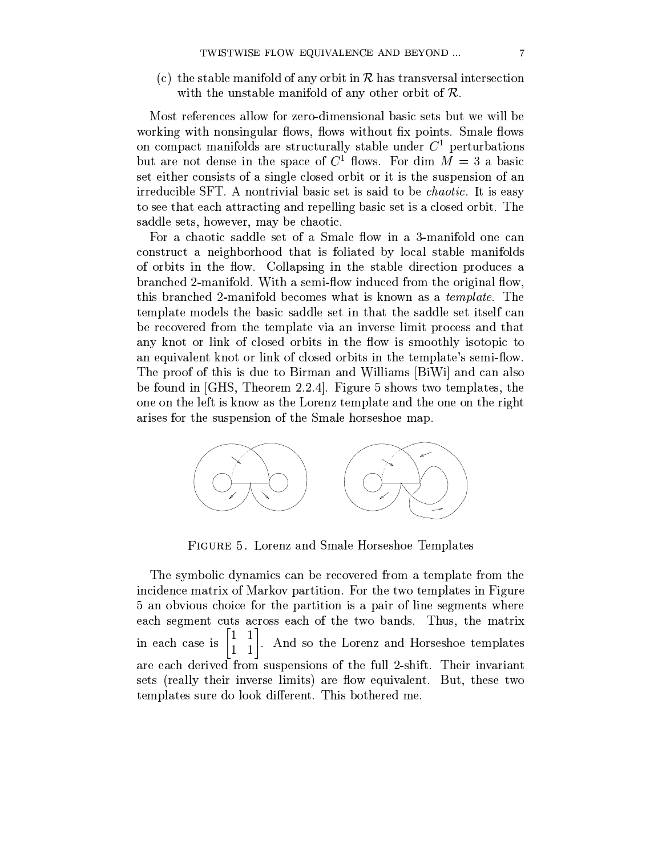(c) the stable manifold of any orbit in  $R$  has transversal intersection with the unstable manifold of any other orbit of  $\mathcal{R}$ .

Most references allow for zero-dimensional basic sets but we will be working with nonsingular flows, flows without fix points. Smale flows on compact manifolds are structurally stable under  $C<sup>1</sup>$  perturbations but are not dense in the space of  $C^1$  flows. For dim  $M = 3$  a basic set either consists of a single closed orbit or it is the suspension of an irreducible SFT. A nontrivial basic set is said to be *chaotic*. It is easy to see that each attracting and repelling basic set is a closed orbit. The saddle sets, however, may be chaotic.

For a chaotic saddle set of a Smale flow in a 3-manifold one can construct a neighborhood that is foliated by local stable manifolds of orbits in the flow. Collapsing in the stable direction produces a branched 2-manifold. With a semi-flow induced from the original flow, this branched 2-manifold becomes what is known as a *template*. The template models the basic saddle set in that the saddle set itself can be recovered from the template via an inverse limit process and that any knot or link of closed orbits in the flow is smoothly isotopic to an equivalent knot or link of closed orbits in the template's semi-flow. The proof of this is due to Birman and Williams [BiWi] and can also be found in  $\overline{GHS}$ , Theorem 2.2.4. Figure 5 shows two templates, the one on the left is know as the Lorenz template and the one on the right arises for the suspension of the Smale horseshoe map.



FIGURE 5. Lorenz and Smale Horseshoe Templates

The symbolic dynamics can be recovered from a template from the incidence matrix of Markov partition. For the two templates in Figure 5 an obvious choice for the partition is a pair of line segments where each segment cuts across each of the two bands. Thus, the matrix in each case is  $\begin{bmatrix} 1 & 1 \\ 1 & 1 \end{bmatrix}$ . And so the Lorenz and Horseshoe templates are each derived from suspensions of the full 2-shift. Their invariant sets (really their inverse limits) are flow equivalent. But, these two templates sure do look different. This bothered me.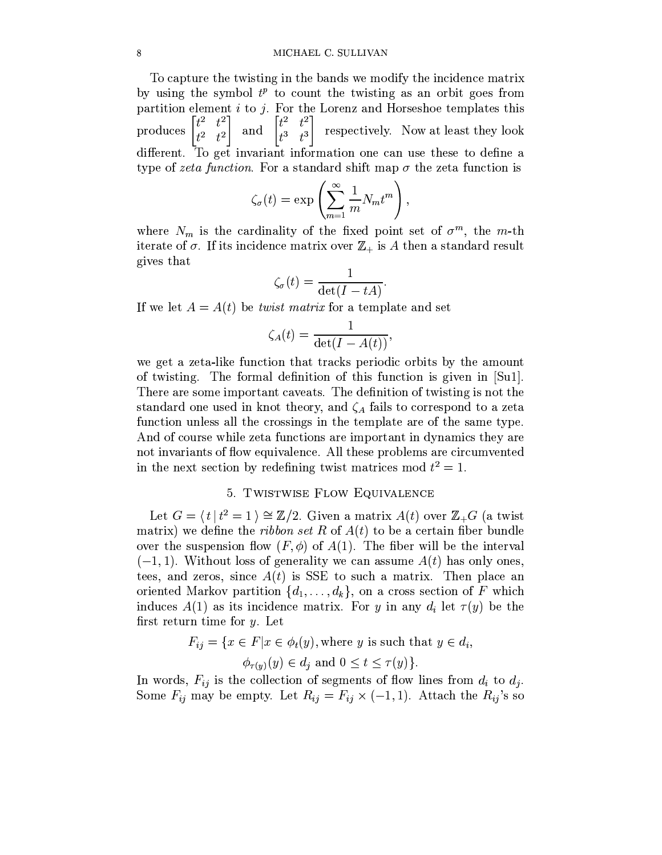#### MICHAEL C. SULLIVAN

To capture the twisting in the bands we modify the incidence matrix by using the symbol  $t^p$  to count the twisting as an orbit goes from partition element  $i$  to  $j$ . For the Lorenz and Horseshoe templates this produces  $\begin{bmatrix} t^2 & t^2 \\ t^2 & t^2 \end{bmatrix}$  $\begin{bmatrix} t^2 & t^2 \\ t^3 & t^3 \end{bmatrix}$  respectively. Now at least they look and different. To get invariant information one can use these to define a type of zeta function. For a standard shift map  $\sigma$  the zeta function is

$$
\zeta_{\sigma}(t) = \exp\left(\sum_{m=1}^{\infty} \frac{1}{m} N_m t^m\right),\,
$$

where  $N_m$  is the cardinality of the fixed point set of  $\sigma^m$ , the m-th iterate of  $\sigma$ . If its incidence matrix over  $\mathbb{Z}_+$  is A then a standard result gives that

$$
\zeta_{\sigma}(t) = \frac{1}{\det(I - tA)}.
$$

If we let  $A = A(t)$  be *twist matrix* for a template and set

$$
\zeta_A(t) = \frac{1}{\det(I - A(t))},
$$

we get a zeta-like function that tracks periodic orbits by the amount of twisting. The formal definition of this function is given in [Su1]. There are some important caveats. The definition of twisting is not the standard one used in knot theory, and  $\zeta_A$  fails to correspond to a zeta function unless all the crossings in the template are of the same type. And of course while zeta functions are important in dynamics they are not invariants of flow equivalence. All these problems are circumvented in the next section by redefining twist matrices mod  $t^2 = 1$ .

#### 5. TWISTWISE FLOW EQUIVALENCE

Let  $G = \langle t | t^2 = 1 \rangle \cong \mathbb{Z}/2$ . Given a matrix  $A(t)$  over  $\mathbb{Z}_+G$  (a twist matrix) we define the *ribbon set* R of  $A(t)$  to be a certain fiber bundle over the suspension flow  $(F, \phi)$  of  $A(1)$ . The fiber will be the interval  $(-1, 1)$ . Without loss of generality we can assume  $A(t)$  has only ones, tees, and zeros, since  $A(t)$  is SSE to such a matrix. Then place an oriented Markov partition  $\{d_1, \ldots, d_k\}$ , on a cross section of F which induces  $A(1)$  as its incidence matrix. For y in any  $d_i$  let  $\tau(y)$  be the first return time for  $y$ . Let

$$
F_{ij} = \{ x \in F | x \in \phi_t(y), \text{ where } y \text{ is such that } y \in d_i, \phi_{\tau(y)}(y) \in d_j \text{ and } 0 \le t \le \tau(y) \}.
$$

In words,  $F_{ij}$  is the collection of segments of flow lines from  $d_i$  to  $d_j$ . Some  $F_{ij}$  may be empty. Let  $R_{ij} = F_{ij} \times (-1,1)$ . Attach the  $R_{ij}$ 's so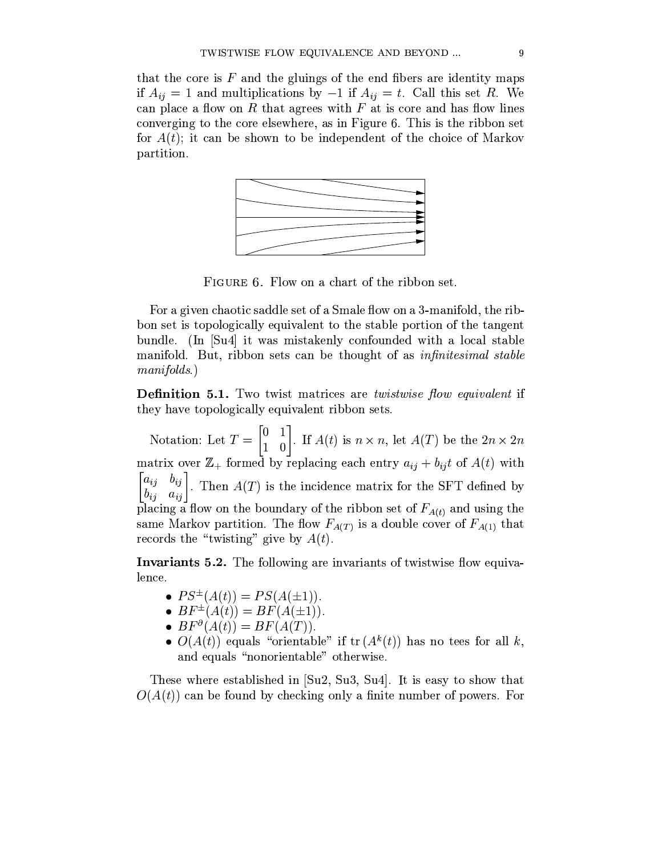that the core is  $F$  and the gluings of the end fibers are identity maps if  $A_{ij} = 1$  and multiplications by  $-1$  if  $A_{ij} = t$ . Call this set R. We can place a flow on R that agrees with  $F$  at is core and has flow lines converging to the core elsewhere, as in Figure 6. This is the ribbon set for  $A(t)$ ; it can be shown to be independent of the choice of Markov partition.



FIGURE 6. Flow on a chart of the ribbon set.

For a given chaotic saddle set of a Smale flow on a 3-manifold, the ribbon set is topologically equivalent to the stable portion of the tangent bundle. (In [Su4] it was mistakenly confounded with a local stable manifold. But, ribbon sets can be thought of as *infinitesimal stable*  $manifolds.$ 

**Definition 5.1.** Two twist matrices are *twistwise flow equivalent* if they have topologically equivalent ribbon sets.

Notation: Let  $T = \begin{bmatrix} 0 & 1 \\ 1 & 0 \end{bmatrix}$ . If  $A(t)$  is  $n \times n$ , let  $A(T)$  be the  $2n \times 2n$ matrix over  $\mathbb{Z}_+$  formed by replacing each entry  $a_{ij} + b_{ij}t$  of  $A(t)$  with  $\begin{bmatrix} a_{ij} & b_{ij} \\ b_{ij} & a_{ij} \end{bmatrix}$ . Then  $A(T)$  is the incidence matrix for the SFT defined by placing a flow on the boundary of the ribbon set of  $F_{A(t)}$  and using the same Markov partition. The flow  $F_{A(T)}$  is a double cover of  $F_{A(1)}$  that records the "twisting" give by  $A(t)$ .

**Invariants 5.2.** The following are invariants of twistwise flow equivalence.

- $PS^{\pm}(A(t)) = PS(A(\pm 1)).$
- $BF^{\pm}(A(t)) = BF(A(\pm 1)).$
- $BF^{\partial}(A(t)) = BF(A(T)).$
- $O(A(t))$  equals "orientable" if  $tr(A^k(t))$  has no tees for all k, and equals "nonorientable" otherwise.

These where established in [Su2, Su3, Su4]. It is easy to show that  $O(A(t))$  can be found by checking only a finite number of powers. For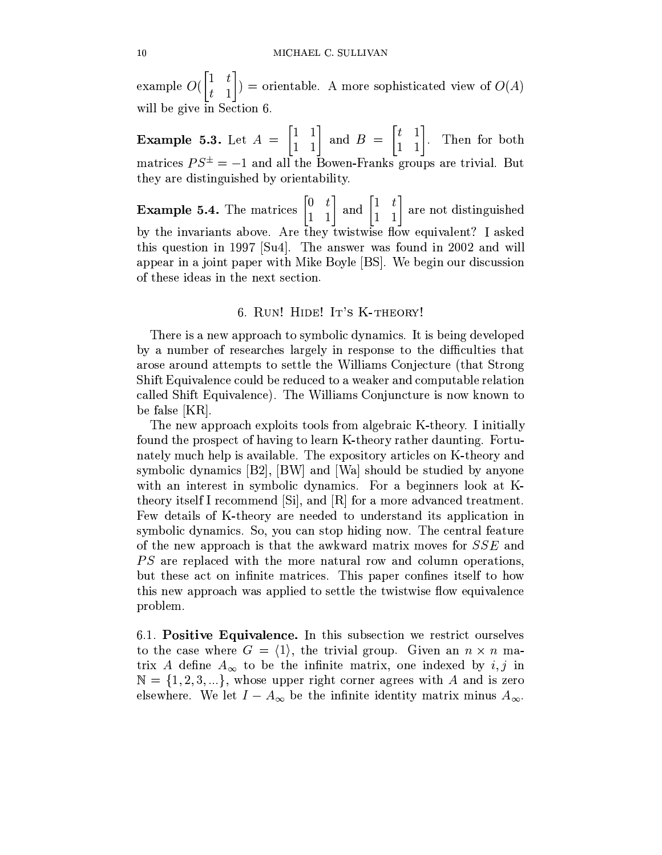example  $O(\begin{bmatrix} 1 & t \\ t & 1 \end{bmatrix})$  = orientable. A more sophisticated view of  $O(A)$ will be give in Section 6.

**Example 5.3.** Let  $A = \begin{bmatrix} 1 & 1 \\ 1 & 1 \end{bmatrix}$  and  $B = \begin{bmatrix} t & 1 \\ 1 & 1 \end{bmatrix}$ . Then for both matrices  $PS^{\pm} = -1$  and all the Bowen-Franks groups are trivial. But they are distinguished by orientability.

**Example 5.4.** The matrices  $\begin{bmatrix} 0 & t \\ 1 & 1 \end{bmatrix}$  and  $\begin{bmatrix} 1 & t \\ 1 & 1 \end{bmatrix}$  are not distinguished by the invariants above. Are they twistwise flow equivalent? I asked this question in 1997 [Su4]. The answer was found in 2002 and will appear in a joint paper with Mike Boyle [BS]. We begin our discussion of these ideas in the next section.

#### 6. RUN! HIDE! IT'S K-THEORY!

There is a new approach to symbolic dynamics. It is being developed by a number of researches largely in response to the difficulties that arose around attempts to settle the Williams Conjecture (that Strong Shift Equivalence could be reduced to a weaker and computable relation called Shift Equivalence). The Williams Conjuncture is now known to be false [KR].

The new approach exploits tools from algebraic K-theory. I initially found the prospect of having to learn K-theory rather daunting. Fortunately much help is available. The expository articles on K-theory and symbolic dynamics [B2], [BW] and [Wa] should be studied by anyone with an interest in symbolic dynamics. For a beginners look at Ktheory itself I recommend [Si], and [R] for a more advanced treatment. Few details of K-theory are needed to understand its application in symbolic dynamics. So, you can stop hiding now. The central feature of the new approach is that the awkward matrix moves for SSE and *PS* are replaced with the more natural row and column operations, but these act on infinite matrices. This paper confines itself to how this new approach was applied to settle the twistwise flow equivalence problem.

6.1. Positive Equivalence. In this subsection we restrict ourselves to the case where  $G = \langle 1 \rangle$ , the trivial group. Given an  $n \times n$  matrix A define  $A_{\infty}$  to be the infinite matrix, one indexed by i, j in  $\mathbb{N} = \{1, 2, 3, ...\}$ , whose upper right corner agrees with A and is zero elsewhere. We let  $I - A_{\infty}$  be the infinite identity matrix minus  $A_{\infty}$ .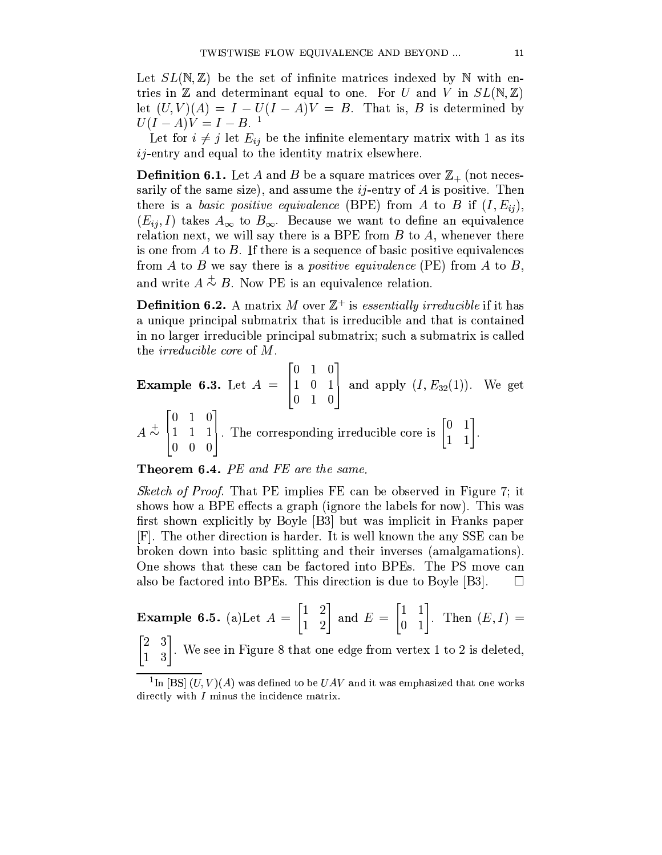Let  $SL(N, \mathbb{Z})$  be the set of infinite matrices indexed by N with entries in Z and determinant equal to one. For U and V in  $SL(N,\mathbb{Z})$ let  $(U, V)(A) = I - U(I - A)V = B$ . That is, B is determined by  $U(I - A)V = I - B$ .<sup>1</sup>

Let for  $i \neq j$  let  $E_{ij}$  be the infinite elementary matrix with 1 as its  $ij$ -entry and equal to the identity matrix elsewhere.

**Definition 6.1.** Let A and B be a square matrices over  $\mathbb{Z}_+$  (not necessarily of the same size), and assume the  $ij$ -entry of A is positive. Then there is a basic positive equivalence (BPE) from A to B if  $(I, E_{ii})$ ,  $(E_{ii}, I)$  takes  $A_{\infty}$  to  $B_{\infty}$ . Because we want to define an equivalence relation next, we will say there is a BPE from  $B$  to  $A$ , whenever there is one from  $A$  to  $B$ . If there is a sequence of basic positive equivalences from A to B we say there is a *positive equivalence* (PE) from A to B, and write  $A \stackrel{+}{\sim} B$ . Now PE is an equivalence relation.

**Definition 6.2.** A matrix M over  $\mathbb{Z}^+$  is *essentially irreducible* if it has a unique principal submatrix that is irreducible and that is contained in no larger irreducible principal submatrix; such a submatrix is called the *irreducible core* of M.

**Example 6.3.** Let 
$$
A = \begin{bmatrix} 0 & 1 & 0 \\ 1 & 0 & 1 \\ 0 & 1 & 0 \end{bmatrix}
$$
 and apply  $(I, E_{32}(1))$ . We get  $A \overset{+}{\sim} \begin{bmatrix} 0 & 1 & 0 \\ 1 & 1 & 1 \\ 0 & 0 & 0 \end{bmatrix}$ . The corresponding irreducible core is  $\begin{bmatrix} 0 & 1 \\ 1 & 1 \end{bmatrix}$ .

**Theorem 6.4.** PE and FE are the same.

*Sketch of Proof.* That PE implies FE can be observed in Figure 7; it shows how a BPE effects a graph (ignore the labels for now). This was first shown explicitly by Boyle [B3] but was implicit in Franks paper [F]. The other direction is harder. It is well known the any SSE can be broken down into basic splitting and their inverses (amalgamations). One shows that these can be factored into BPEs. The PS move can also be factored into BPEs. This direction is due to Boyle [B3].  $\Box$ 

**Example 6.5.** (a)Let 
$$
A = \begin{bmatrix} 1 & 2 \ 1 & 2 \end{bmatrix}
$$
 and  $E = \begin{bmatrix} 1 & 1 \ 0 & 1 \end{bmatrix}$ . Then  $(E, I) = \begin{bmatrix} 2 & 3 \end{bmatrix}$ 

 $\begin{bmatrix} 2 & 3 \\ 1 & 3 \end{bmatrix}$ . We see in Figure 8 that one edge from vertex 1 to 2 is deleted,

<sup>&</sup>lt;sup>1</sup>In [BS]  $(U, V)(A)$  was defined to be  $UAV$  and it was emphasized that one works directly with  $I$  minus the incidence matrix.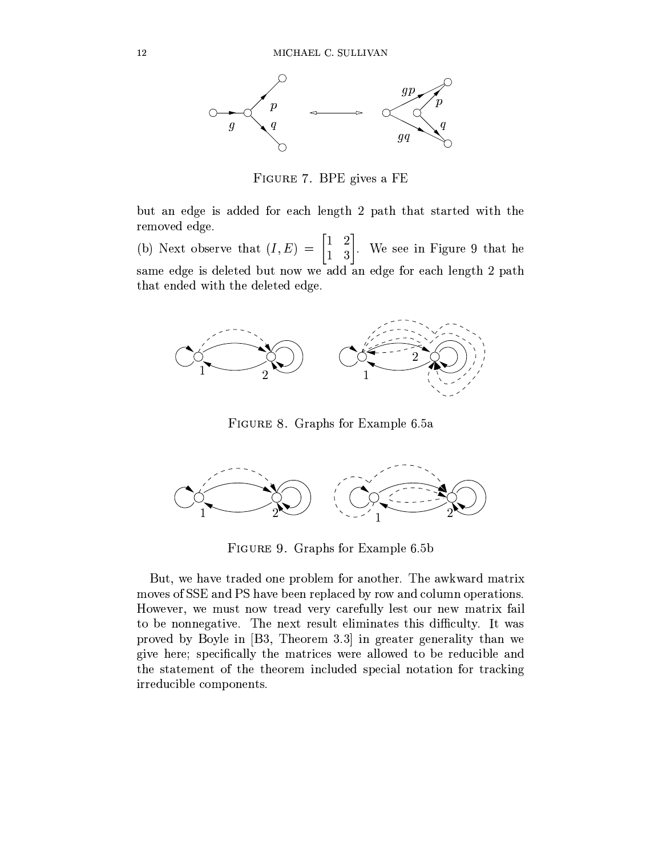

FIGURE 7. BPE gives a FE

but an edge is added for each length 2 path that started with the removed edge.

(b) Next observe that  $(I, E) = \begin{bmatrix} 1 & 2 \\ 1 & 3 \end{bmatrix}$ . We see in Figure 9 that he same edge is deleted but now we add an edge for each length 2 path that ended with the deleted edge.



FIGURE 8. Graphs for Example 6.5a



FIGURE 9. Graphs for Example 6.5b

But, we have traded one problem for another. The awkward matrix moves of SSE and PS have been replaced by row and column operations. However, we must now tread very carefully lest our new matrix fail to be nonnegative. The next result eliminates this difficulty. It was proved by Boyle in [B3, Theorem 3.3] in greater generality than we give here; specifically the matrices were allowed to be reducible and the statement of the theorem included special notation for tracking irreducible components.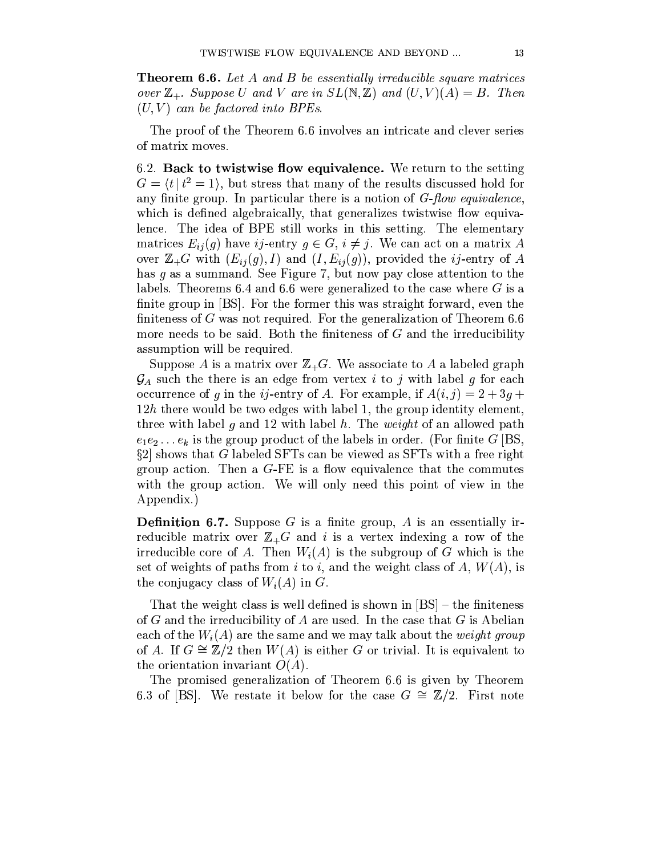**Theorem 6.6.** Let A and B be essentially irreducible square matrices over  $\mathbb{Z}_+$ . Suppose U and V are in  $SL(N, \mathbb{Z})$  and  $(U, V)(A) = B$ . Then  $(U, V)$  can be factored into BPEs.

The proof of the Theorem 6.6 involves an intricate and clever series of matrix moves.

6.2. Back to twistwise flow equivalence. We return to the setting  $G = \langle t | t^2 = 1 \rangle$ , but stress that many of the results discussed hold for any finite group. In particular there is a notion of  $G$ -flow equivalence, which is defined algebraically, that generalizes twistwise flow equivalence. The idea of BPE still works in this setting. The elementary matrices  $E_{ij}(g)$  have ij-entry  $g \in G$ ,  $i \neq j$ . We can act on a matrix A over  $\mathbb{Z}_+G$  with  $(E_{ij}(g), I)$  and  $(I, E_{ij}(g))$ , provided the *ij*-entry of A has  $g$  as a summand. See Figure 7, but now pay close attention to the labels. Theorems 6.4 and 6.6 were generalized to the case where  $G$  is a finite group in [BS]. For the former this was straight forward, even the finiteness of  $G$  was not required. For the generalization of Theorem 6.6 more needs to be said. Both the finiteness of  $G$  and the irreducibility assumption will be required.

Suppose A is a matrix over  $\mathbb{Z}_+G$ . We associate to A a labeled graph  $\mathcal{G}_A$  such the there is an edge from vertex *i* to *j* with label g for each occurrence of g in the *i*<sub>j</sub>-entry of A. For example, if  $A(i, j) = 2 + 3g +$  $12h$  there would be two edges with label 1, the group identity element, three with label g and 12 with label h. The *weight* of an allowed path  $e_1e_2 \ldots e_k$  is the group product of the labels in order. (For finite G [BS,  $\S2$  shows that G labeled SFTs can be viewed as SFTs with a free right group action. Then a  $G$ -FE is a flow equivalence that the commutes with the group action. We will only need this point of view in the Appendix.)

**Definition 6.7.** Suppose  $G$  is a finite group,  $A$  is an essentially irreducible matrix over  $\mathbb{Z}_+G$  and i is a vertex indexing a row of the irreducible core of A. Then  $W_i(A)$  is the subgroup of G which is the set of weights of paths from i to i, and the weight class of A,  $W(A)$ , is the conjugacy class of  $W_i(A)$  in G.

That the weight class is well defined is shown in  $[BS]$  – the finiteness of G and the irreducibility of A are used. In the case that G is Abelian each of the  $W_i(A)$  are the same and we may talk about the *weight group* of A. If  $G \cong \mathbb{Z}/2$  then  $W(A)$  is either G or trivial. It is equivalent to the orientation invariant  $O(A)$ .

The promised generalization of Theorem 6.6 is given by Theorem 6.3 of [BS]. We restate it below for the case  $G \cong \mathbb{Z}/2$ . First note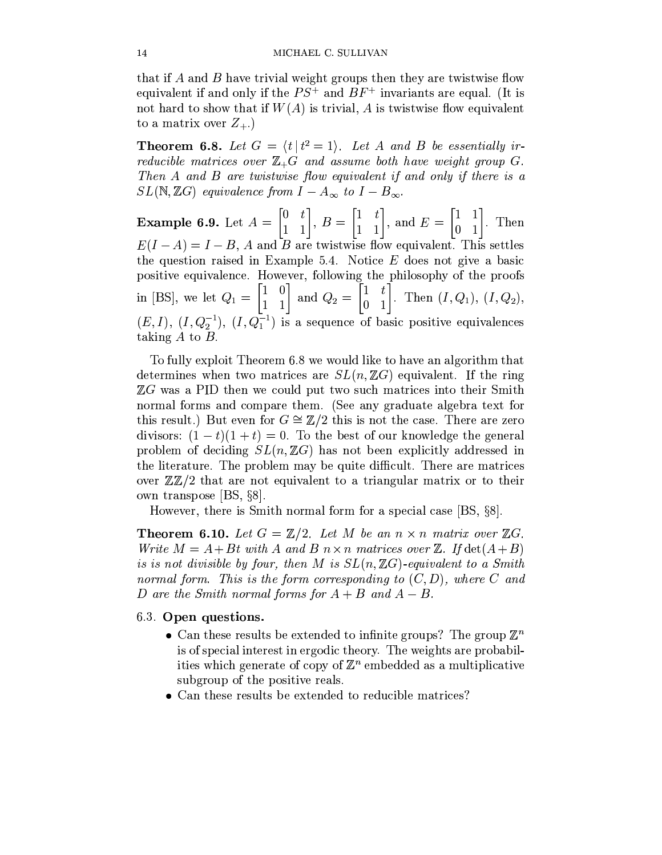that if A and B have trivial weight groups then they are twistwise flow equivalent if and only if the  $PS^+$  and  $BF^+$  invariants are equal. (It is not hard to show that if  $W(A)$  is trivial, A is twistwise flow equivalent to a matrix over  $Z_{+}$ .)

**Theorem 6.8.** Let  $G = \langle t | t^2 = 1 \rangle$ . Let A and B be essentially irreducible matrices over  $\mathbb{Z}_+G$  and assume both have weight group G. Then A and B are twistwise flow equivalent if and only if there is a  $SL(N,\mathbb{Z}G)$  equivalence from  $I-A_{\infty}$  to  $I-B_{\infty}$ .

**Example 6.9.** Let  $A = \begin{bmatrix} 0 & t \\ 1 & 1 \end{bmatrix}$ ,  $B = \begin{bmatrix} 1 & t \\ 1 & 1 \end{bmatrix}$ , and  $E = \begin{bmatrix} 1 & 1 \\ 0 & 1 \end{bmatrix}$ . Then  $E(I-A) = I-B$ , A and B are twistwise flow equivalent. This settles the question raised in Example 5.4. Notice  $E$  does not give a basic positive equivalence. However, following the philosophy of the proofs in [BS], we let  $Q_1 = \begin{bmatrix} 1 & 0 \\ 1 & 1 \end{bmatrix}$  and  $Q_2 = \begin{bmatrix} 1 & t \\ 0 & 1 \end{bmatrix}$ . Then  $(I, Q_1)$ ,  $(I, Q_2)$ ,  $(E, I), (I, Q_2^{-1}), (I, Q_1^{-1})$  is a sequence of basic positive equivalences taking  $A$  to  $B$ .

To fully exploit Theorem 6.8 we would like to have an algorithm that determines when two matrices are  $SL(n,\mathbb{Z}G)$  equivalent. If the ring  $\mathbb{Z}G$  was a PID then we could put two such matrices into their Smith normal forms and compare them. (See any graduate algebra text for this result.) But even for  $G \cong \mathbb{Z}/2$  this is not the case. There are zero divisors:  $(1-t)(1+t) = 0$ . To the best of our knowledge the general problem of deciding  $SL(n,\mathbb{Z}G)$  has not been explicitly addressed in the literature. The problem may be quite difficult. There are matrices over  $\mathbb{Z}\mathbb{Z}/2$  that are not equivalent to a triangular matrix or to their own transpose  $|BS, \S8|$ .

However, there is Smith normal form for a special case [BS, §8].

**Theorem 6.10.** Let  $G = \mathbb{Z}/2$ . Let M be an  $n \times n$  matrix over  $\mathbb{Z}G$ . Write  $M = A + Bt$  with A and B  $n \times n$  matrices over Z. If  $det(A + B)$ is is not divisible by four, then M is  $SL(n,\mathbb{Z}G)$ -equivalent to a Smith normal form. This is the form corresponding to  $(C, D)$ , where C and D are the Smith normal forms for  $A + B$  and  $A - B$ .

#### 6.3. Open questions.

- Can these results be extended to infinite groups? The group  $\mathbb{Z}^n$ is of special interest in ergodic theory. The weights are probabilities which generate of copy of  $\mathbb{Z}^n$  embedded as a multiplicative subgroup of the positive reals.
- Can these results be extended to reducible matrices?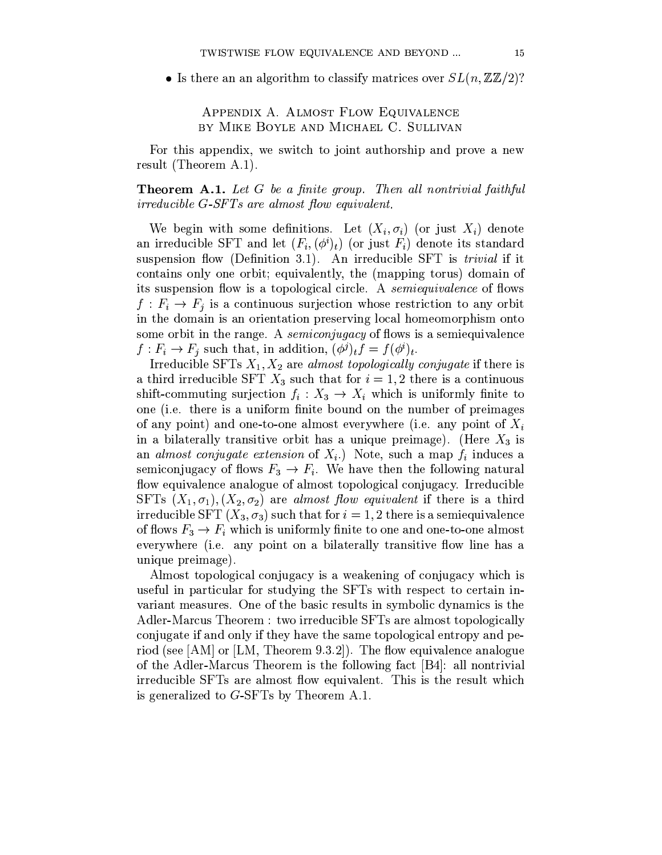• Is there an an algorithm to classify matrices over  $SL(n, \mathbb{Z}\mathbb{Z}/2)$ ?

### APPENDIX A. ALMOST FLOW EQUIVALENCE BY MIKE BOYLE AND MICHAEL C. SULLIVAN

For this appendix, we switch to joint authorship and prove a new result (Theorem A.1).

**Theorem A.1.** Let G be a finite group. Then all nontrivial faithful *irreducible G-SFTs are almost flow equivalent.* 

We begin with some definitions. Let  $(X_i, \sigma_i)$  (or just  $X_i$ ) denote an irreducible SFT and let  $(F_i, (\phi^i)_t)$  (or just  $F_i$ ) denote its standard suspension flow (Definition 3.1). An irreducible SFT is *trivial* if it contains only one orbit; equivalently, the (mapping torus) domain of its suspension flow is a topological circle. A *semiequivalence* of flows  $f: F_i \to F_j$  is a continuous surjection whose restriction to any orbit in the domain is an orientation preserving local homeomorphism onto some orbit in the range. A *semiconjugacy* of flows is a semiequivalence  $f: F_i \to F_j$  such that, in addition,  $(\phi^j)_t f = f(\phi^i)_t$ .

Irreducible SFTs  $X_1, X_2$  are almost topologically conjugate if there is a third irreducible SFT  $X_3$  such that for  $i = 1, 2$  there is a continuous shift-commuting surjection  $f_i: X_3 \to X_i$  which is uniformly finite to one (i.e. there is a uniform finite bound on the number of preimages of any point) and one-to-one almost everywhere (i.e. any point of  $X_i$ in a bilaterally transitive orbit has a unique preimage). (Here  $X_3$  is an *almost conjugate extension* of  $X_i$ .) Note, such a map  $f_i$  induces a semiconjugacy of flows  $F_3 \to F_i$ . We have then the following natural flow equivalence analogue of almost topological conjugacy. Irreducible SFTs  $(X_1, \sigma_1), (X_2, \sigma_2)$  are almost flow equivalent if there is a third irreducible SFT  $(X_3, \sigma_3)$  such that for  $i = 1, 2$  there is a semiequivalence of flows  $F_3 \to F_i$  which is uniformly finite to one and one-to-one almost everywhere (i.e. any point on a bilaterally transitive flow line has a unique preimage).

Almost topological conjugacy is a weakening of conjugacy which is useful in particular for studying the SFTs with respect to certain invariant measures. One of the basic results in symbolic dynamics is the Adler-Marcus Theorem : two irreducible SFTs are almost topologically conjugate if and only if they have the same topological entropy and period (see [AM] or [LM, Theorem 9.3.2]). The flow equivalence analogue of the Adler-Marcus Theorem is the following fact [B4]: all nontrivial irreducible SFTs are almost flow equivalent. This is the result which is generalized to  $G$ -SFTs by Theorem A.1.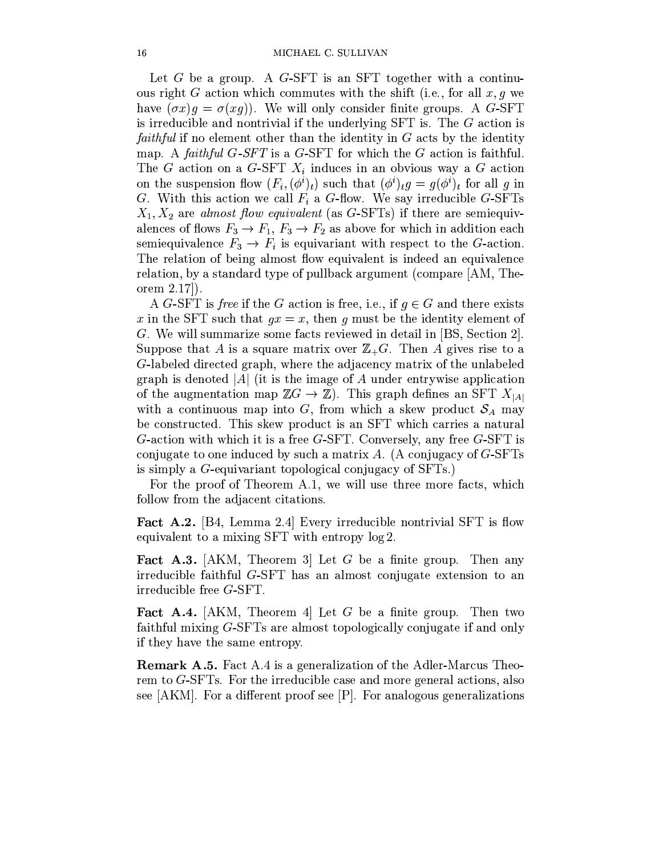Let G be a group. A G-SFT is an SFT together with a continuous right G action which commutes with the shift (i.e., for all  $x, g$  we have  $(\sigma x)q = \sigma(xq)$ . We will only consider finite groups. A G-SFT is irreducible and nontrivial if the underlying  $SFT$  is. The  $G$  action is *faithful* if no element other than the identity in  $G$  acts by the identity map. A faithful  $G$ -SFT is a G-SFT for which the  $G$  action is faithful. The G action on a G-SFT  $X_i$  induces in an obvious way a G action on the suspension flow  $(F_i, (\phi^i)_t)$  such that  $(\phi^i)_t g = g(\phi^i)_t$  for all g in G. With this action we call  $F_i$  a G-flow. We say irreducible G-SFTs  $X_1, X_2$  are almost flow equivalent (as G-SFTs) if there are semiequivalences of flows  $F_3 \to F_1$ ,  $F_3 \to F_2$  as above for which in addition each semiequivalence  $F_3 \to F_i$  is equivariant with respect to the G-action. The relation of being almost flow equivalent is indeed an equivalence relation, by a standard type of pullback argument (compare [AM, Theorem  $2.17$ .

A G-SFT is free if the G action is free, i.e., if  $q \in G$  and there exists x in the SFT such that  $gx = x$ , then g must be the identity element of G. We will summarize some facts reviewed in detail in [BS, Section 2]. Suppose that A is a square matrix over  $\mathbb{Z}_+G$ . Then A gives rise to a G-labeled directed graph, where the adjacency matrix of the unlabeled graph is denoted |A| (it is the image of A under entrywise application of the augmentation map  $\mathbb{Z}G \to \mathbb{Z}$ ). This graph defines an SFT  $X_{|A|}$ with a continuous map into G, from which a skew product  $S_A$  may be constructed. This skew product is an SFT which carries a natural G-action with which it is a free G-SFT. Conversely, any free  $G$ -SFT is conjugate to one induced by such a matrix A. (A conjugacy of  $G$ -SFTs is simply a G-equivariant topological conjugacy of SFTs.)

For the proof of Theorem A.1, we will use three more facts, which follow from the adjacent citations.

Fact A.2. [B4, Lemma 2.4] Every irreducible nontrivial SFT is flow equivalent to a mixing SFT with entropy  $log 2$ .

**Fact A.3.** [AKM, Theorem 3] Let G be a finite group. Then any irreducible faithful G-SFT has an almost conjugate extension to an irreducible free G-SFT.

**Fact A.4.** [AKM, Theorem 4] Let G be a finite group. Then two faithful mixing G-SFTs are almost topologically conjugate if and only if they have the same entropy.

**Remark A.5.** Fact A.4 is a generalization of the Adler-Marcus Theorem to  $G$ -SFTs. For the irreducible case and more general actions, also see  $[AKM]$ . For a different proof see  $[P]$ . For analogous generalizations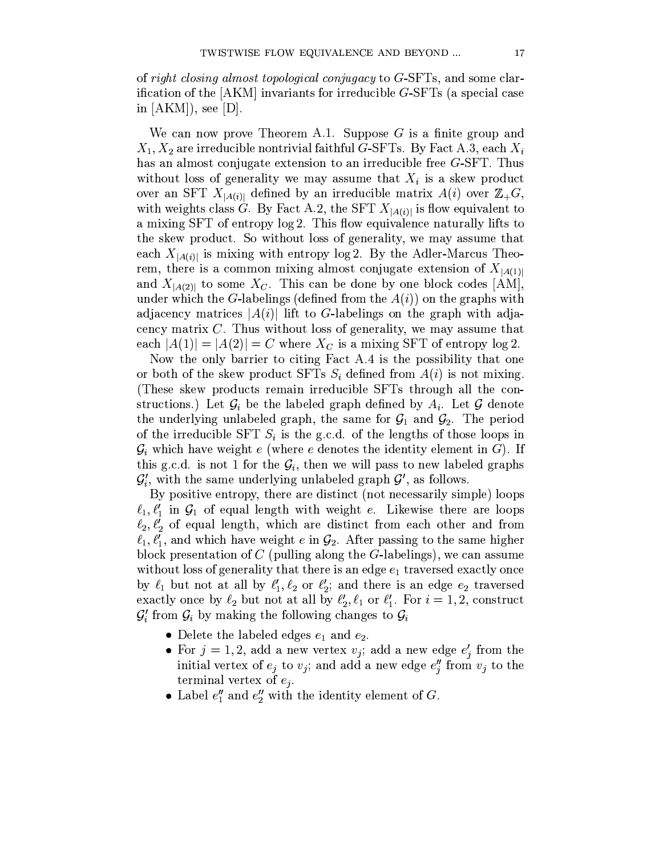of right closing almost topological conjugacy to  $G$ -SFTs, and some clarification of the  $[AKM]$  invariants for irreducible  $G$ -SFTs (a special case in  $[AKM]$ , see  $[D]$ .

We can now prove Theorem A.1. Suppose  $G$  is a finite group and  $X_1, X_2$  are irreducible nontrivial faithful G-SFTs. By Fact A.3, each  $X_i$ has an almost conjugate extension to an irreducible free  $G$ -SFT. Thus without loss of generality we may assume that  $X_i$  is a skew product over an SFT  $X_{|A(i)|}$  defined by an irreducible matrix  $A(i)$  over  $\mathbb{Z}_+G$ , with weights class G. By Fact A.2, the SFT  $X_{|A(i)|}$  is flow equivalent to a mixing SFT of entropy  $log 2$ . This flow equivalence naturally lifts to the skew product. So without loss of generality, we may assume that each  $X_{[A(i)]}$  is mixing with entropy log 2. By the Adler-Marcus Theorem, there is a common mixing almost conjugate extension of  $X_{[A(1)]}$ and  $X_{|A(2)|}$  to some  $X_C$ . This can be done by one block codes [AM], under which the G-labelings (defined from the  $A(i)$ ) on the graphs with adjacency matrices  $|A(i)|$  lift to G-labelings on the graph with adjacency matrix  $C$ . Thus without loss of generality, we may assume that each  $|A(1)| = |A(2)| = C$  where  $X_C$  is a mixing SFT of entropy  $log 2$ .

Now the only barrier to citing Fact A.4 is the possibility that one or both of the skew product SFTs  $S_i$  defined from  $A(i)$  is not mixing. (These skew products remain irreducible SFTs through all the constructions.) Let  $\mathcal{G}_i$  be the labeled graph defined by  $A_i$ . Let  $\mathcal G$  denote the underlying unlabeled graph, the same for  $G_1$  and  $G_2$ . The period of the irreducible SFT  $S_i$  is the g.c.d. of the lengths of those loops in  $\mathcal{G}_i$  which have weight e (where e denotes the identity element in G). If this g.c.d. is not 1 for the  $\mathcal{G}_i$ , then we will pass to new labeled graphs  $\mathcal{G}'_i$ , with the same underlying unlabeled graph  $\mathcal{G}'$ , as follows.

By positive entropy, there are distinct (not necessarily simple) loops  $\ell_1, \ell'_1$  in  $\mathcal{G}_1$  of equal length with weight e. Likewise there are loops  $\ell_2, \ell'_2$  of equal length, which are distinct from each other and from  $\ell_1, \ell'_1$ , and which have weight e in  $\mathcal{G}_2$ . After passing to the same higher block presentation of  $C$  (pulling along the  $G$ -labelings), we can assume without loss of generality that there is an edge  $e_1$  traversed exactly once by  $\ell_1$  but not at all by  $\ell'_1, \ell_2$  or  $\ell'_2$ ; and there is an edge  $e_2$  traversed exactly once by  $\ell_2$  but not at all by  $\ell'_2$ ,  $\ell_1$  or  $\ell'_1$ . For  $i = 1, 2$ , construct  $\mathcal{G}'_i$  from  $\mathcal{G}_i$  by making the following changes to  $\mathcal{G}_i$ 

- Delete the labeled edges  $e_1$  and  $e_2$ .
- For  $j = 1, 2$ , add a new vertex  $v_j$ ; add a new edge  $e'_j$  from the initial vertex of  $e_j$  to  $v_j$ ; and add a new edge  $e''_j$  from  $v_j$  to the terminal vertex of  $e_j$ .
- Label  $e''_1$  and  $e''_2$  with the identity element of G.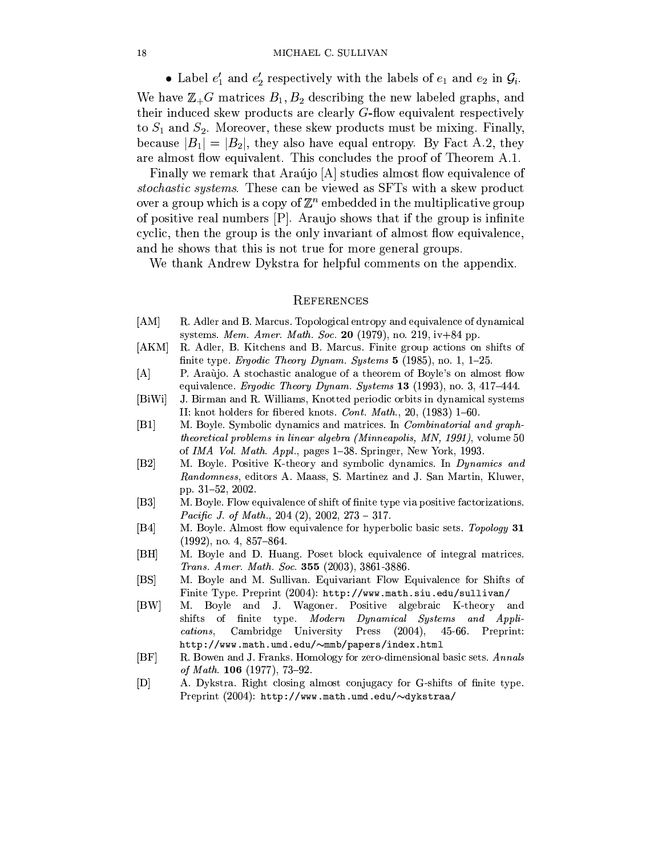#### MICHAEL C. SULLIVAN

• Label  $e'_1$  and  $e'_2$  respectively with the labels of  $e_1$  and  $e_2$  in  $\mathcal{G}_i$ .

We have  $\mathbb{Z}_+G$  matrices  $B_1, B_2$  describing the new labeled graphs, and their induced skew products are clearly G-flow equivalent respectively to  $S_1$  and  $S_2$ . Moreover, these skew products must be mixing. Finally, because  $|B_1| = |B_2|$ , they also have equal entropy. By Fact A.2, they are almost flow equivalent. This concludes the proof of Theorem A.1.

Finally we remark that Araújo [A] studies almost flow equivalence of stochastic systems. These can be viewed as SFTs with a skew product over a group which is a copy of  $\mathbb{Z}^n$  embedded in the multiplicative group of positive real numbers  $[P]$ . Araujo shows that if the group is infinite cyclic, then the group is the only invariant of almost flow equivalence, and he shows that this is not true for more general groups.

We thank Andrew Dykstra for helpful comments on the appendix.

#### REFERENCES

- $[AM]$ R. Adler and B. Marcus. Topological entropy and equivalence of dynamical systems. Mem. Amer. Math. Soc. 20 (1979), no. 219,  $iv+84$  pp.
- [AKM] R. Adler, B. Kitchens and B. Marcus. Finite group actions on shifts of finite type. *Ergodic Theory Dynam. Systems* 5 (1985), no. 1, 1-25.
- $[A]$ P. Araùjo. A stochastic analogue of a theorem of Boyle's on almost flow equivalence. *Ergodic Theory Dynam. Systems* 13 (1993), no. 3, 417-444.
- $[BiWi]$ J. Birman and R. Williams, Knotted periodic orbits in dynamical systems II: knot holders for fibered knots. Cont. Math., 20, (1983)  $1-60$ .
- $[B1]$ M. Boyle. Symbolic dynamics and matrices. In *Combinatorial and graphtheoretical problems in linear algebra (Minneapolis, MN, 1991), volume 50* of IMA Vol. Math. Appl., pages 1-38. Springer, New York, 1993.
- $|B2|$ M. Boyle. Positive K-theory and symbolic dynamics. In *Dynamics and* Randomness, editors A. Maass, S. Martinez and J. San Martin, Kluwer, pp. 31–52, 2002.
- M. Boyle. Flow equivalence of shift of finite type via positive factorizations.  $[B3]$ *Pacific J. of Math.*, 204 (2), 2002, 273 – 317.
- $|B4|$ M. Boyle. Almost flow equivalence for hyperbolic basic sets. Topology 31  $(1992)$ , no. 4, 857-864.
- $|BH|$ M. Boyle and D. Huang. Poset block equivalence of integral matrices. Trans. Amer. Math. Soc. 355 (2003), 3861-3886.
- M. Boyle and M. Sullivan. Equivariant Flow Equivalence for Shifts of  $[BS]$ Finite Type. Preprint (2004): http://www.math.siu.edu/sullivan/
- $[BW]$ M. Boyle and J. Wagoner. Positive algebraic K-theory and shifts of finite type. Modern Dynamical Systems and Appli-Cambridge University  $(2004),$ Press  $45-66.$  Preprint: cations. http://www.math.umd.edu/~mmb/papers/index.html
- $|BF|$ R. Bowen and J. Franks. Homology for zero-dimensional basic sets. Annals of Math. 106 (1977), 73-92.
- $[{\rm D}]$ A. Dykstra. Right closing almost conjugacy for G-shifts of finite type. Preprint  $(2004)$ : http://www.math.umd.edu/ $\sim$ dykstraa/

18